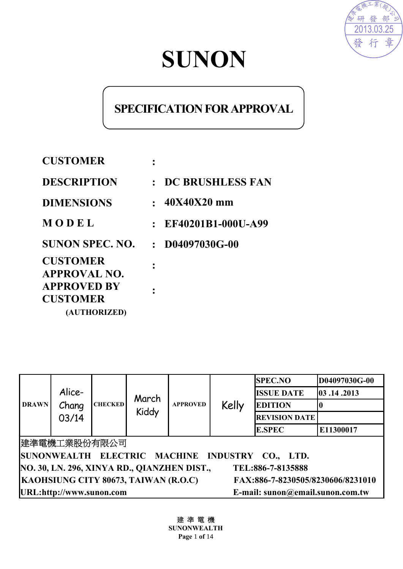

# **SUNON**

# **SPECIFICATION FOR APPROVAL**

| <b>CUSTOMER</b>                       |                      |
|---------------------------------------|----------------------|
| <b>DESCRIPTION</b>                    | : DC BRUSHLESS FAN   |
| <b>DIMENSIONS</b>                     | $: 40X40X20$ mm      |
| MODEL                                 | : EF40201B1-000U-A99 |
| <b>SUNON SPEC. NO.</b>                | $:$ D04097030G-00    |
| <b>CUSTOMER</b><br>APPROVAL NO.       |                      |
| <b>APPROVED BY</b><br><b>CUSTOMER</b> |                      |
| (AUTHORIZED)                          |                      |

| <b>DRAWN</b>                                                              | Alice-<br>Chang<br>03/14 | <b>CHECKED</b> | March<br>Kiddy | <b>APPROVED</b> | Kelly         | <b>SPEC.NO</b><br><b>ISSUE DATE</b><br><b>EDITION</b><br><b>REVISION DATE</b> | D04097030G-00<br>14.2013 |
|---------------------------------------------------------------------------|--------------------------|----------------|----------------|-----------------|---------------|-------------------------------------------------------------------------------|--------------------------|
|                                                                           |                          |                |                |                 | <b>E.SPEC</b> | E11300017                                                                     |                          |
| 建準電機工業股份有限公司                                                              |                          |                |                |                 |               |                                                                               |                          |
| SUNONWEALTH ELECTRIC MACHINE<br>INDUSTRY CO., LTD.                        |                          |                |                |                 |               |                                                                               |                          |
| NO. 30, LN. 296, XINYA RD., QIANZHEN DIST.,<br>TEL:886-7-8135888          |                          |                |                |                 |               |                                                                               |                          |
| KAOHSIUNG CITY 80673, TAIWAN (R.O.C)<br>FAX:886-7-8230505/8230606/8231010 |                          |                |                |                 |               |                                                                               |                          |
| URL:http://www.sunon.com<br>E-mail: sunon@email.sunon.com.tw              |                          |                |                |                 |               |                                                                               |                          |

建 準 電 機

**SUNONWEALTH Page** 1 **of** 14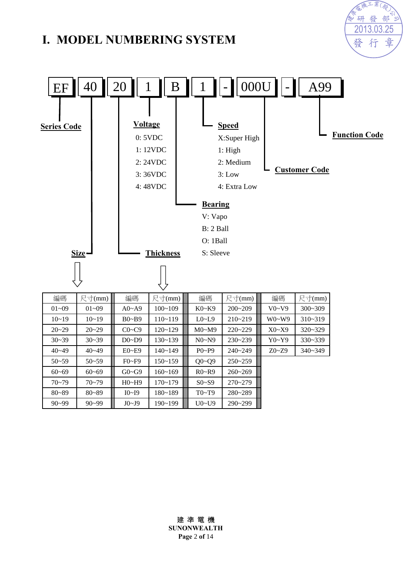# **I. MODEL NUMBERING SYSTEM**



2013.03.25

行

發

章

高楼工業(股 研發部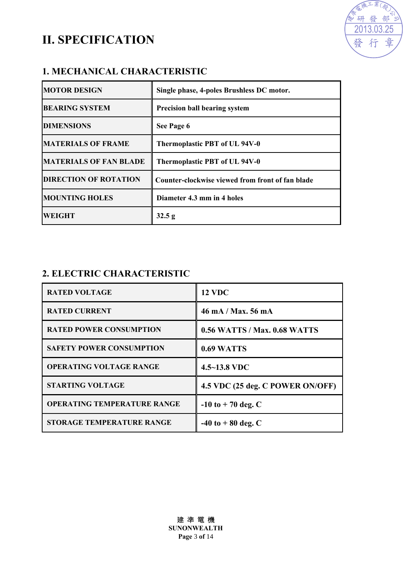# **II. SPECIFICATION**



### **1. MECHANICAL CHARACTERISTIC**

| <b>MOTOR DESIGN</b>           | Single phase, 4-poles Brushless DC motor.        |
|-------------------------------|--------------------------------------------------|
| <b>BEARING SYSTEM</b>         | <b>Precision ball bearing system</b>             |
| <b>DIMENSIONS</b>             | See Page 6                                       |
| <b>MATERIALS OF FRAME</b>     | Thermoplastic PBT of UL 94V-0                    |
| <b>MATERIALS OF FAN BLADE</b> | Thermoplastic PBT of UL 94V-0                    |
| <b>DIRECTION OF ROTATION</b>  | Counter-clockwise viewed from front of fan blade |
| <b>MOUNTING HOLES</b>         | Diameter 4.3 mm in 4 holes                       |
| <b>WEIGHT</b>                 | 32.5 g                                           |

## **2. ELECTRIC CHARACTERISTIC**

| <b>RATED VOLTAGE</b>               | <b>12 VDC</b>                       |
|------------------------------------|-------------------------------------|
| <b>RATED CURRENT</b>               | 46 mA / Max, 56 mA                  |
| <b>RATED POWER CONSUMPTION</b>     | <b>0.56 WATTS / Max. 0.68 WATTS</b> |
| <b>SAFETY POWER CONSUMPTION</b>    | 0.69 WATTS                          |
| <b>OPERATING VOLTAGE RANGE</b>     | $4.5 - 13.8$ VDC                    |
| <b>STARTING VOLTAGE</b>            | 4.5 VDC (25 deg. C POWER ON/OFF)    |
| <b>OPERATING TEMPERATURE RANGE</b> | $-10$ to $+70$ deg. C               |
| <b>STORAGE TEMPERATURE RANGE</b>   | $-40$ to $+80$ deg. C               |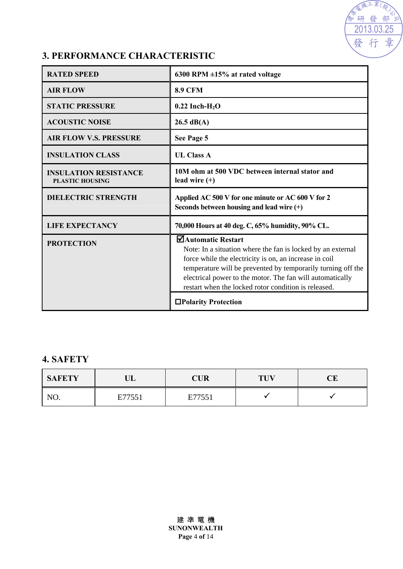

## **3. PERFORMANCE CHARACTERISTIC**

| <b>RATED SPEED</b>                                     | 6300 RPM $\pm$ 15% at rated voltage                                                                                                                                                                                                                                                                                              |  |  |
|--------------------------------------------------------|----------------------------------------------------------------------------------------------------------------------------------------------------------------------------------------------------------------------------------------------------------------------------------------------------------------------------------|--|--|
| <b>AIR FLOW</b>                                        | <b>8.9 CFM</b>                                                                                                                                                                                                                                                                                                                   |  |  |
| <b>STATIC PRESSURE</b>                                 | $0.22$ Inch-H <sub>2</sub> O                                                                                                                                                                                                                                                                                                     |  |  |
| <b>ACOUSTIC NOISE</b>                                  | $26.5 \text{ dB}(A)$                                                                                                                                                                                                                                                                                                             |  |  |
| <b>AIR FLOW V.S. PRESSURE</b>                          | See Page 5                                                                                                                                                                                                                                                                                                                       |  |  |
| <b>INSULATION CLASS</b>                                | <b>UL Class A</b>                                                                                                                                                                                                                                                                                                                |  |  |
| <b>INSULATION RESISTANCE</b><br><b>PLASTIC HOUSING</b> | 10M ohm at 500 VDC between internal stator and<br>lead wire $(+)$                                                                                                                                                                                                                                                                |  |  |
| <b>DIELECTRIC STRENGTH</b>                             | Applied AC 500 V for one minute or AC 600 V for 2<br>Seconds between housing and lead wire $(+)$                                                                                                                                                                                                                                 |  |  |
| <b>LIFE EXPECTANCY</b>                                 | 70,000 Hours at 40 deg. C, 65% humidity, 90% CL.                                                                                                                                                                                                                                                                                 |  |  |
| <b>PROTECTION</b>                                      | ■Automatic Restart<br>Note: In a situation where the fan is locked by an external<br>force while the electricity is on, an increase in coil<br>temperature will be prevented by temporarily turning off the<br>electrical power to the motor. The fan will automatically<br>restart when the locked rotor condition is released. |  |  |
|                                                        | □Polarity Protection                                                                                                                                                                                                                                                                                                             |  |  |

#### **4. SAFETY**

| <b>SAFETY</b> | ∪∟     | CUR    | <b>TUV</b> | تت |
|---------------|--------|--------|------------|----|
| NO.           | E77551 | E77551 |            |    |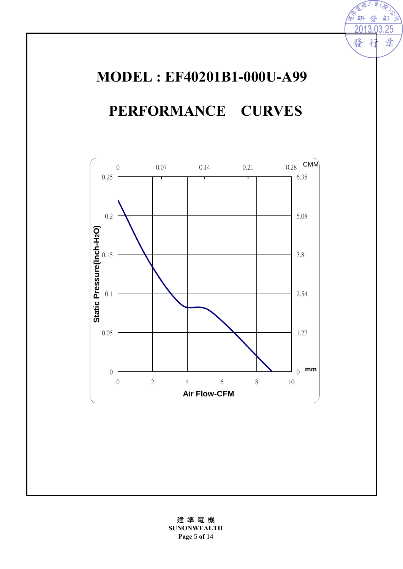# **MODEL : EF40201B1-000U-A99 PERFORMANCE CURVES**

2013.03.25

矸

發

 $\mathbb{Z}$ 

部 ू,

章

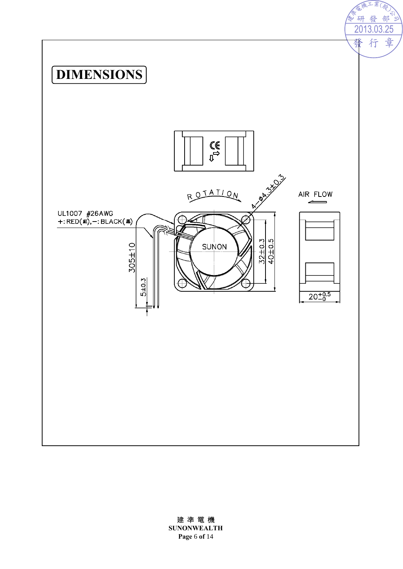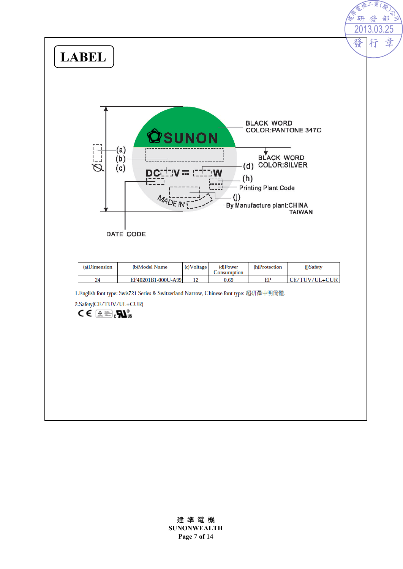

#### 建 準 電 機

**SUNONWEALTH Page** 7 **of** 14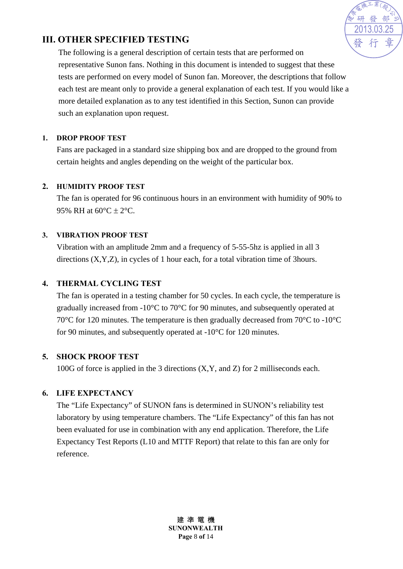

## **III. OTHER SPECIFIED TESTING**

The following is a general description of certain tests that are performed on representative Sunon fans. Nothing in this document is intended to suggest that these tests are performed on every model of Sunon fan. Moreover, the descriptions that follow each test are meant only to provide a general explanation of each test. If you would like a more detailed explanation as to any test identified in this Section, Sunon can provide such an explanation upon request.

#### **1. DROP PROOF TEST**

Fans are packaged in a standard size shipping box and are dropped to the ground from certain heights and angles depending on the weight of the particular box.

#### **2. HUMIDITY PROOF TEST**

The fan is operated for 96 continuous hours in an environment with humidity of 90% to 95% RH at  $60^{\circ}$ C  $\pm$  2°C.

#### **3. VIBRATION PROOF TEST**

Vibration with an amplitude 2mm and a frequency of 5-55-5hz is applied in all 3 directions (X,Y,Z), in cycles of 1 hour each, for a total vibration time of 3hours.

#### **4. THERMAL CYCLING TEST**

The fan is operated in a testing chamber for 50 cycles. In each cycle, the temperature is gradually increased from -10°C to 70°C for 90 minutes, and subsequently operated at 70°C for 120 minutes. The temperature is then gradually decreased from 70°C to -10°C for 90 minutes, and subsequently operated at -10°C for 120 minutes.

#### **5. SHOCK PROOF TEST**

100G of force is applied in the 3 directions (X,Y, and Z) for 2 milliseconds each.

#### **6. LIFE EXPECTANCY**

The "Life Expectancy" of SUNON fans is determined in SUNON's reliability test laboratory by using temperature chambers. The "Life Expectancy" of this fan has not been evaluated for use in combination with any end application. Therefore, the Life Expectancy Test Reports (L10 and MTTF Report) that relate to this fan are only for reference.

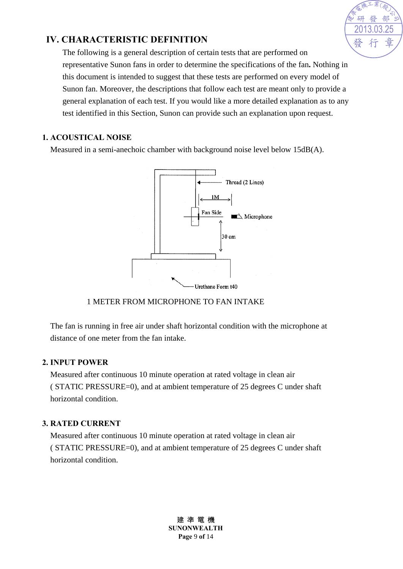

## **IV. CHARACTERISTIC DEFINITION**

The following is a general description of certain tests that are performed on representative Sunon fans in order to determine the specifications of the fan**.** Nothing in this document is intended to suggest that these tests are performed on every model of Sunon fan. Moreover, the descriptions that follow each test are meant only to provide a general explanation of each test. If you would like a more detailed explanation as to any test identified in this Section, Sunon can provide such an explanation upon request.

#### **1. ACOUSTICAL NOISE**

Measured in a semi-anechoic chamber with background noise level below 15dB(A).



#### 1 METER FROM MICROPHONE TO FAN INTAKE

The fan is running in free air under shaft horizontal condition with the microphone at distance of one meter from the fan intake.

#### **2. INPUT POWER**

Measured after continuous 10 minute operation at rated voltage in clean air ( STATIC PRESSURE=0), and at ambient temperature of 25 degrees C under shaft horizontal condition.

#### **3. RATED CURRENT**

Measured after continuous 10 minute operation at rated voltage in clean air ( STATIC PRESSURE=0), and at ambient temperature of 25 degrees C under shaft horizontal condition.

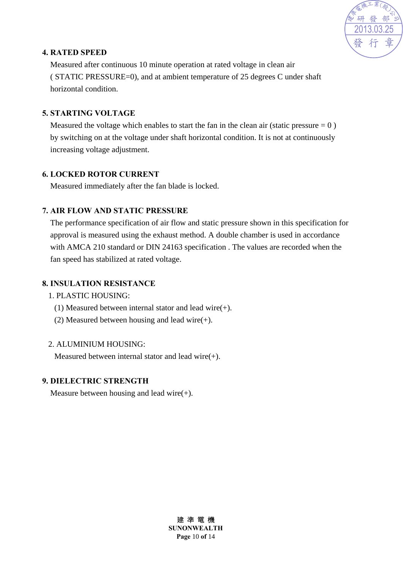

#### **4. RATED SPEED**

Measured after continuous 10 minute operation at rated voltage in clean air ( STATIC PRESSURE=0), and at ambient temperature of 25 degrees C under shaft horizontal condition.

#### **5. STARTING VOLTAGE**

Measured the voltage which enables to start the fan in the clean air (static pressure  $= 0$ ) by switching on at the voltage under shaft horizontal condition. It is not at continuously increasing voltage adjustment.

#### **6. LOCKED ROTOR CURRENT**

Measured immediately after the fan blade is locked.

#### **7. AIR FLOW AND STATIC PRESSURE**

The performance specification of air flow and static pressure shown in this specification for approval is measured using the exhaust method. A double chamber is used in accordance with AMCA 210 standard or DIN 24163 specification . The values are recorded when the fan speed has stabilized at rated voltage.

#### **8. INSULATION RESISTANCE**

#### 1. PLASTIC HOUSING:

- (1) Measured between internal stator and lead wire(+).
- (2) Measured between housing and lead wire $(+)$ .

#### 2. ALUMINIUM HOUSING:

Measured between internal stator and lead wire(+).

#### **9. DIELECTRIC STRENGTH**

Measure between housing and lead wire $(+)$ .

建 準 電 機 **SUNONWEALTH Page** 10 **of** 14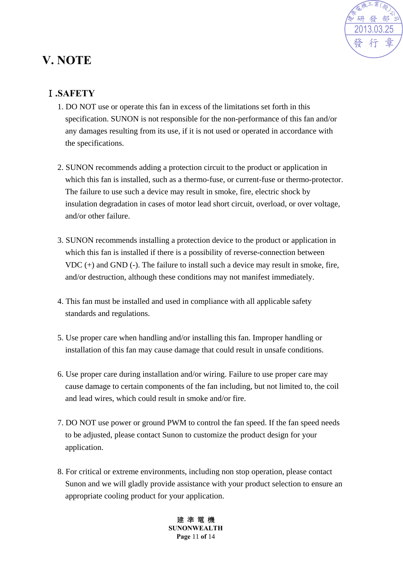

# **V. NOTE**

# Ⅰ**.SAFETY**

- 1. DO NOT use or operate this fan in excess of the limitations set forth in this specification. SUNON is not responsible for the non-performance of this fan and/or any damages resulting from its use, if it is not used or operated in accordance with the specifications.
- 2. SUNON recommends adding a protection circuit to the product or application in which this fan is installed, such as a thermo-fuse, or current-fuse or thermo-protector. The failure to use such a device may result in smoke, fire, electric shock by insulation degradation in cases of motor lead short circuit, overload, or over voltage, and/or other failure.
- 3. SUNON recommends installing a protection device to the product or application in which this fan is installed if there is a possibility of reverse-connection between VDC (+) and GND (-). The failure to install such a device may result in smoke, fire, and/or destruction, although these conditions may not manifest immediately.
- 4. This fan must be installed and used in compliance with all applicable safety standards and regulations.
- 5. Use proper care when handling and/or installing this fan. Improper handling or installation of this fan may cause damage that could result in unsafe conditions.
- 6. Use proper care during installation and/or wiring. Failure to use proper care may cause damage to certain components of the fan including, but not limited to, the coil and lead wires, which could result in smoke and/or fire.
- 7. DO NOT use power or ground PWM to control the fan speed. If the fan speed needs to be adjusted, please contact Sunon to customize the product design for your application.
- 8. For critical or extreme environments, including non stop operation, please contact Sunon and we will gladly provide assistance with your product selection to ensure an appropriate cooling product for your application.

建 準 電 機 **SUNONWEALTH Page** 11 **of** 14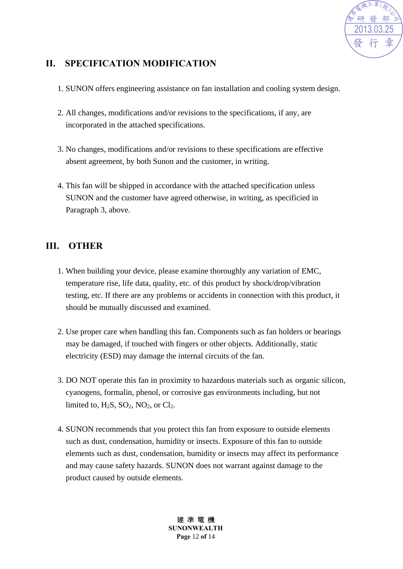

## **II. SPECIFICATION MODIFICATION**

- 1. SUNON offers engineering assistance on fan installation and cooling system design.
- 2. All changes, modifications and/or revisions to the specifications, if any, are incorporated in the attached specifications.
- 3. No changes, modifications and/or revisions to these specifications are effective absent agreement, by both Sunon and the customer, in writing.
- 4. This fan will be shipped in accordance with the attached specification unless SUNON and the customer have agreed otherwise, in writing, as specificied in Paragraph 3, above.

### **III. OTHER**

- 1. When building your device, please examine thoroughly any variation of EMC, temperature rise, life data, quality, etc. of this product by shock/drop/vibration testing, etc. If there are any problems or accidents in connection with this product, it should be mutually discussed and examined.
- 2. Use proper care when handling this fan. Components such as fan holders or bearings may be damaged, if touched with fingers or other objects. Additionally, static electricity (ESD) may damage the internal circuits of the fan.
- 3. DO NOT operate this fan in proximity to hazardous materials such as organic silicon, cyanogens, formalin, phenol, or corrosive gas environments including, but not limited to,  $H_2S$ ,  $SO_2$ ,  $NO_2$ , or  $Cl_2$ .
- 4. SUNON recommends that you protect this fan from exposure to outside elements such as dust, condensation, humidity or insects. Exposure of this fan to outside elements such as dust, condensation, humidity or insects may affect its performance and may cause safety hazards. SUNON does not warrant against damage to the product caused by outside elements.

建 準 電 機 **SUNONWEALTH Page** 12 **of** 14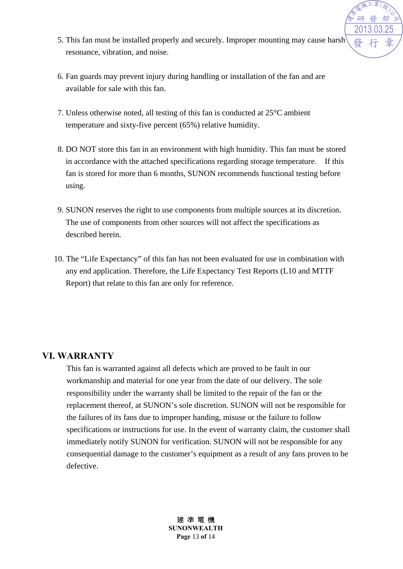

- 5. This fan must be installed properly and securely. Improper mounting may cause harsh resonance, vibration, and noise.
- 6. Fan guards may prevent injury during handling or installation of the fan and are available for sale with this fan.
- 7. Unless otherwise noted, all testing of this fan is conducted at 25°C ambient temperature and sixty-five percent (65%) relative humidity.
- 8. DO NOT store this fan in an environment with high humidity. This fan must be stored in accordance with the attached specifications regarding storage temperature. If this fan is stored for more than 6 months, SUNON recommends functional testing before using.
- 9. SUNON reserves the right to use components from multiple sources at its discretion. The use of components from other sources will not affect the specifications as described herein.
- 10. The "Life Expectancy" of this fan has not been evaluated for use in combination with any end application. Therefore, the Life Expectancy Test Reports (L10 and MTTF Report) that relate to this fan are only for reference.

#### **VI. WARRANTY**

This fan is warranted against all defects which are proved to be fault in our workmanship and material for one year from the date of our delivery. The sole responsibility under the warranty shall be limited to the repair of the fan or the replacement thereof, at SUNON's sole discretion. SUNON will not be responsible for the failures of its fans due to improper handing, misuse or the failure to follow specifications or instructions for use. In the event of warranty claim, the customer shall immediately notify SUNON for verification. SUNON will not be responsible for any consequential damage to the customer's equipment as a result of any fans proven to be defective.